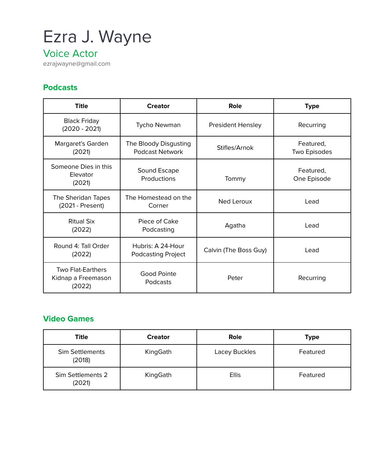# Ezra J. Wayne

## Voice Actor

ezrajwayne@gmail.com

#### **Podcasts**

| <b>Title</b>                                             | <b>Creator</b>                                  | Role                     | <b>Type</b>               |
|----------------------------------------------------------|-------------------------------------------------|--------------------------|---------------------------|
| <b>Black Friday</b><br>$(2020 - 2021)$                   | Tycho Newman                                    | <b>President Hensley</b> | Recurring                 |
| Margaret's Garden<br>(2021)                              | The Bloody Disgusting<br><b>Podcast Network</b> | Stifles/Arnok            | Featured,<br>Two Episodes |
| Someone Dies in this<br>Elevator<br>(2021)               | Sound Escape<br>Productions                     | Tommy                    | Featured,<br>One Episode  |
| The Sheridan Tapes<br>(2021 - Present)                   | The Homestead on the<br>Corner                  | Ned Leroux               | Lead                      |
| Ritual Six<br>(2022)                                     | Piece of Cake<br>Podcasting                     | Agatha                   | Lead                      |
| Round 4: Tall Order<br>(2022)                            | Hubris: A 24-Hour<br><b>Podcasting Project</b>  | Calvin (The Boss Guy)    | Lead                      |
| <b>Two Flat-Earthers</b><br>Kidnap a Freemason<br>(2022) | Good Pointe<br>Podcasts                         | Peter                    | Recurring                 |

#### **Video Games**

| Title                            | <b>Creator</b> | Role          | <b>Type</b> |
|----------------------------------|----------------|---------------|-------------|
| <b>Sim Settlements</b><br>(2018) | KingGath       | Lacey Buckles | Featured    |
| Sim Settlements 2<br>(2021)      | KingGath       | <b>Ellis</b>  | Featured    |